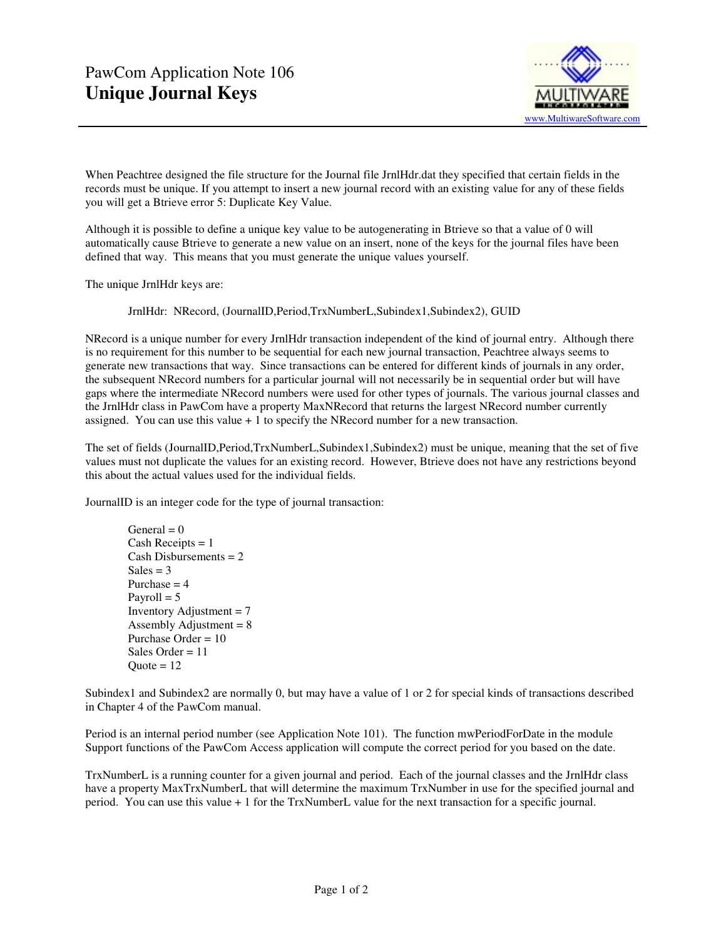

When Peachtree designed the file structure for the Journal file JrnlHdr.dat they specified that certain fields in the records must be unique. If you attempt to insert a new journal record with an existing value for any of these fields you will get a Btrieve error 5: Duplicate Key Value.

Although it is possible to define a unique key value to be autogenerating in Btrieve so that a value of 0 will automatically cause Btrieve to generate a new value on an insert, none of the keys for the journal files have been defined that way. This means that you must generate the unique values yourself.

The unique JrnlHdr keys are:

JrnlHdr: NRecord, (JournalID,Period,TrxNumberL,Subindex1,Subindex2), GUID

NRecord is a unique number for every JrnlHdr transaction independent of the kind of journal entry. Although there is no requirement for this number to be sequential for each new journal transaction, Peachtree always seems to generate new transactions that way. Since transactions can be entered for different kinds of journals in any order, the subsequent NRecord numbers for a particular journal will not necessarily be in sequential order but will have gaps where the intermediate NRecord numbers were used for other types of journals. The various journal classes and the JrnlHdr class in PawCom have a property MaxNRecord that returns the largest NRecord number currently assigned. You can use this value  $+1$  to specify the NRecord number for a new transaction.

The set of fields (JournalID,Period,TrxNumberL,Subindex1,Subindex2) must be unique, meaning that the set of five values must not duplicate the values for an existing record. However, Btrieve does not have any restrictions beyond this about the actual values used for the individual fields.

JournalID is an integer code for the type of journal transaction:

General  $= 0$ Cash Receipts  $= 1$  Cash Disbursements = 2  $Sales = 3$ Purchase  $= 4$ Payroll  $= 5$ Inventory Adjustment  $= 7$ Assembly Adjustment  $= 8$  Purchase Order = 10 Sales Order = 11  $Quote = 12$ 

Subindex1 and Subindex2 are normally 0, but may have a value of 1 or 2 for special kinds of transactions described in Chapter 4 of the PawCom manual.

Period is an internal period number (see Application Note 101). The function mwPeriodForDate in the module Support functions of the PawCom Access application will compute the correct period for you based on the date.

TrxNumberL is a running counter for a given journal and period. Each of the journal classes and the JrnlHdr class have a property MaxTrxNumberL that will determine the maximum TrxNumber in use for the specified journal and period. You can use this value + 1 for the TrxNumberL value for the next transaction for a specific journal.